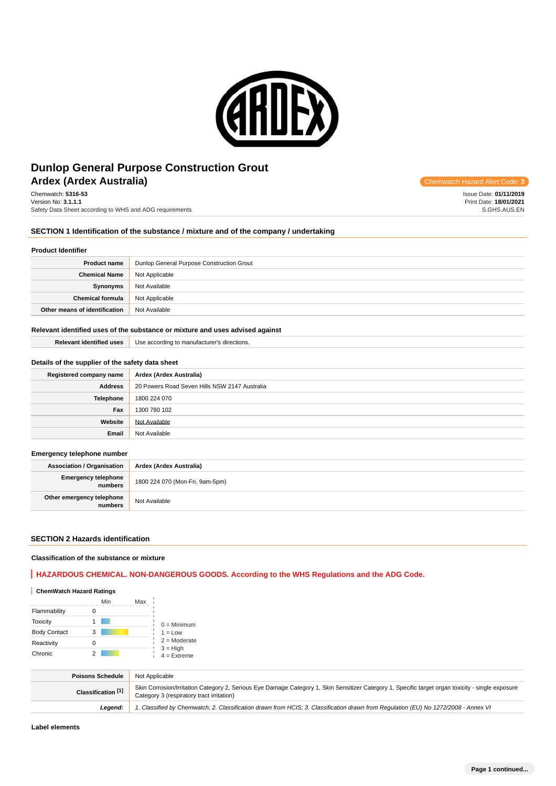

# **Ardex (Ardex Australia) Ardex Australia Code: 3 Chemwatch Hazard Alert Code: 3 Chemwatch Hazard Alert Code: 3 Dunlop General Purpose Construction Grout**

Chemwatch: **5316-53** Version No: **3.1.1.1** Safety Data Sheet according to WHS and ADG requirements

### **SECTION 1 Identification of the substance / mixture and of the company / undertaking**

#### **Product Identifier**

| <b>Product name</b>           | Dunlop General Purpose Construction Grout |  |
|-------------------------------|-------------------------------------------|--|
| <b>Chemical Name</b>          | Not Applicable                            |  |
| Synonyms                      | Not Available                             |  |
| <b>Chemical formula</b>       | Not Applicable                            |  |
| Other means of identification | Not Available                             |  |

#### **Relevant identified uses of the substance or mixture and uses advised against**

| <b>Relevant identified uses</b> | Use according to manufacturer's directions. |
|---------------------------------|---------------------------------------------|
|                                 |                                             |

#### **Details of the supplier of the safety data sheet**

| Registered company name | Ardex (Ardex Australia)                       |
|-------------------------|-----------------------------------------------|
| <b>Address</b>          | 20 Powers Road Seven Hills NSW 2147 Australia |
| Telephone               | 1800 224 070                                  |
| Fax                     | 1300 780 102                                  |
| Website                 | Not Available                                 |
| Email                   | Not Available                                 |

#### **Emergency telephone number**

**Association / Organisation Ardex (Ardex Australia) Emergency telephone numbers** 1800 224 070 (Mon-Fri, 9am-5pm) **Other emergency telephone Not Available** 

#### **SECTION 2 Hazards identification**

#### **Classification of the substance or mixture**

### **HAZARDOUS CHEMICAL. NON-DANGEROUS GOODS. According to the WHS Regulations and the ADG Code.**

### **ChemWatch Hazard Ratings**

|                     | Min | Max |                             |
|---------------------|-----|-----|-----------------------------|
| Flammability        |     |     |                             |
| <b>Toxicity</b>     |     |     | $0 =$ Minimum               |
| <b>Body Contact</b> | 3   |     | $1 = Low$                   |
| Reactivity          |     |     | $2 =$ Moderate              |
| Chronic             |     |     | $3 = High$<br>$4 =$ Extreme |

| <b>Poisons Schedule</b> | Not Applicable                                                                                                                                                                                 |
|-------------------------|------------------------------------------------------------------------------------------------------------------------------------------------------------------------------------------------|
| Classification [1]      | Skin Corrosion/Irritation Category 2, Serious Eye Damage Category 1, Skin Sensitizer Category 1, Specific target organ toxicity - single exposure<br>Category 3 (respiratory tract irritation) |
| Leaend:                 | 1. Classified by Chemwatch; 2. Classification drawn from HCIS; 3. Classification drawn from Regulation (EU) No 1272/2008 - Annex VI                                                            |

Issue Date: **01/11/2019** Print Date: **18/01/2021** S.GHS.AUS.EN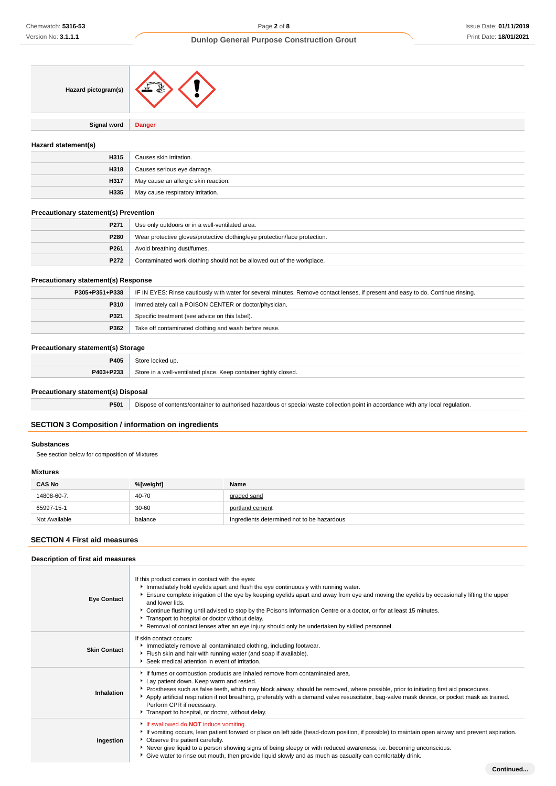**Continued...**

# **Dunlop General Purpose Construction Grout**

| Hazard pictogram(s) |  |
|---------------------|--|
|                     |  |

**Signal word Danger**

#### **Hazard statement(s)**

| H315 | Causes skin irritation.              |
|------|--------------------------------------|
| H318 | Causes serious eye damage.           |
| H317 | May cause an allergic skin reaction. |
| H335 | May cause respiratory irritation.    |

### **Precautionary statement(s) Prevention**

| P271 | Use only outdoors or in a well-ventilated area.                            |
|------|----------------------------------------------------------------------------|
| P280 | Wear protective gloves/protective clothing/eye protection/face protection. |
| P261 | Avoid breathing dust/fumes.                                                |
| P272 | Contaminated work clothing should not be allowed out of the workplace.     |

### **Precautionary statement(s) Response**

| P305+P351+P338 | IF IN EYES: Rinse cautiously with water for several minutes. Remove contact lenses, if present and easy to do. Continue rinsing. |  |
|----------------|----------------------------------------------------------------------------------------------------------------------------------|--|
| P310           | Immediately call a POISON CENTER or doctor/physician.                                                                            |  |
| P321           | Specific treatment (see advice on this label).                                                                                   |  |
| P362           | Take off contaminated clothing and wash before reuse.                                                                            |  |

#### **Precautionary statement(s) Storage**

| P405        | .                                                     |
|-------------|-------------------------------------------------------|
| <b>DOM:</b> | tightly<br>closed.<br>101C<br>$\sim$<br>$\sum$<br>1.7 |

### **Precautionary statement(s) Disposal**

**P501** Dispose of contents/container to authorised hazardous or special waste collection point in accordance with any local regulation.

# **SECTION 3 Composition / information on ingredients**

#### **Substances**

See section below for composition of Mixtures

### **Mixtures**

| <b>CAS No</b> | %[weight] | Name                                       |
|---------------|-----------|--------------------------------------------|
| 14808-60-7.   | 40-70     | graded sand                                |
| 65997-15-1    | $30 - 60$ | portland cement                            |
| Not Available | balance   | Ingredients determined not to be hazardous |

#### **SECTION 4 First aid measures**

### **Description of first aid measures**

| <b>Eye Contact</b>  | If this product comes in contact with the eyes:<br>Immediately hold eyelids apart and flush the eye continuously with running water.<br>Ensure complete irrigation of the eye by keeping eyelids apart and away from eye and moving the eyelids by occasionally lifting the upper<br>and lower lids.<br>▶ Continue flushing until advised to stop by the Poisons Information Centre or a doctor, or for at least 15 minutes.<br>Transport to hospital or doctor without delay.<br>▶ Removal of contact lenses after an eye injury should only be undertaken by skilled personnel. |
|---------------------|-----------------------------------------------------------------------------------------------------------------------------------------------------------------------------------------------------------------------------------------------------------------------------------------------------------------------------------------------------------------------------------------------------------------------------------------------------------------------------------------------------------------------------------------------------------------------------------|
| <b>Skin Contact</b> | If skin contact occurs:<br>Immediately remove all contaminated clothing, including footwear.<br>Flush skin and hair with running water (and soap if available).<br>Seek medical attention in event of irritation.                                                                                                                                                                                                                                                                                                                                                                 |
| Inhalation          | If fumes or combustion products are inhaled remove from contaminated area.<br>Lay patient down. Keep warm and rested.<br>▶ Prostheses such as false teeth, which may block airway, should be removed, where possible, prior to initiating first aid procedures.<br>Apply artificial respiration if not breathing, preferably with a demand valve resuscitator, bag-valve mask device, or pocket mask as trained.<br>Perform CPR if necessary.<br>Transport to hospital, or doctor, without delay.                                                                                 |
| Ingestion           | If swallowed do <b>NOT</b> induce vomiting.<br>If vomiting occurs, lean patient forward or place on left side (head-down position, if possible) to maintain open airway and prevent aspiration.<br>• Observe the patient carefully.<br>Never give liquid to a person showing signs of being sleepy or with reduced awareness; i.e. becoming unconscious.<br>• Give water to rinse out mouth, then provide liquid slowly and as much as casualty can comfortably drink.                                                                                                            |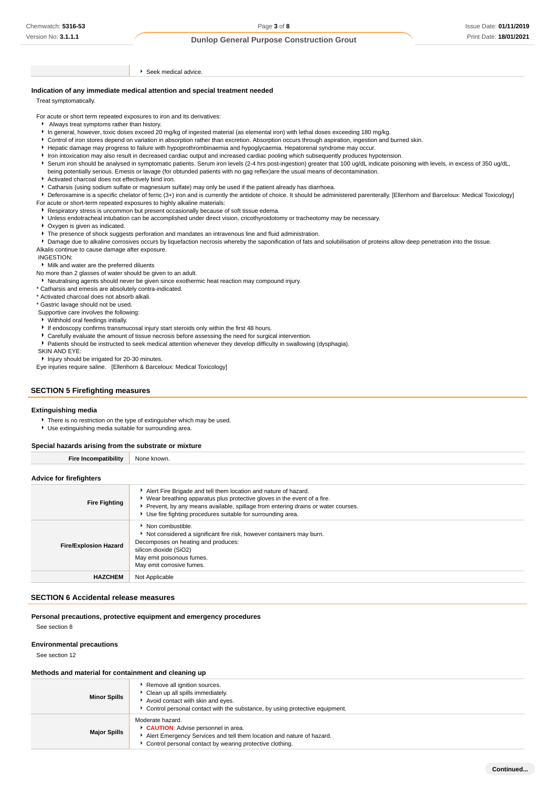Seek medical advice.

#### **Indication of any immediate medical attention and special treatment needed**

Treat symptomatically.

For acute or short term repeated exposures to iron and its derivatives:

- Always treat symptoms rather than history.
- In general, however, toxic doses exceed 20 mg/kg of ingested material (as elemental iron) with lethal doses exceeding 180 mg/kg.
- Control of iron stores depend on variation in absorption rather than excretion. Absorption occurs through aspiration, ingestion and burned skin.
- Hepatic damage may progress to failure with hypoprothrombinaemia and hypoglycaemia. Hepatorenal syndrome may occur.
- Iron intoxication may also result in decreased cardiac output and increased cardiac pooling which subsequently produces hypotension.
- Serum iron should be analysed in symptomatic patients. Serum iron levels (2-4 hrs post-ingestion) greater that 100 ug/dL indicate poisoning with levels, in excess of 350 ug/dL, being potentially serious. Emesis or lavage (for obtunded patients with no gag reflex)are the usual means of decontamination.
- Activated charcoal does not effectively bind iron.
- Catharsis (using sodium sulfate or magnesium sulfate) may only be used if the patient already has diarrhoea.
- ▶ Deferoxamine is a specific chelator of ferric (3+) iron and is currently the antidote of choice. It should be administered parenterally. [Ellenhorn and Barceloux: Medical Toxicology]
- For acute or short-term repeated exposures to highly alkaline materials: Respiratory stress is uncommon but present occasionally because of soft tissue edema.
	- Unless endotracheal intubation can be accomplished under direct vision, cricothyroidotomy or tracheotomy may be necessary.
	- **Casual** Oxygen is given as indicated.
	- The presence of shock suggests perforation and mandates an intravenous line and fluid administration.

Damage due to alkaline corrosives occurs by liquefaction necrosis whereby the saponification of fats and solubilisation of proteins allow deep penetration into the tissue. Alkalis continue to cause damage after exposure.

INGESTION:

Milk and water are the preferred diluents

No more than 2 glasses of water should be given to an adult.

Neutralising agents should never be given since exothermic heat reaction may compound injury.

\* Catharsis and emesis are absolutely contra-indicated.

\* Activated charcoal does not absorb alkali.

\* Gastric lavage should not be used.

Supportive care involves the following:

- Withhold oral feedings initially.
- If endoscopy confirms transmucosal injury start steroids only within the first 48 hours.
- Carefully evaluate the amount of tissue necrosis before assessing the need for surgical intervention.
- Patients should be instructed to seek medical attention whenever they develop difficulty in swallowing (dysphagia).

SKIN AND EYE:

Injury should be irrigated for 20-30 minutes.

Eye injuries require saline. [Ellenhorn & Barceloux: Medical Toxicology]

#### **SECTION 5 Firefighting measures**

#### **Extinguishing media**

- There is no restriction on the type of extinguisher which may be used.
- Use extinguishing media suitable for surrounding area.

#### **Special hazards arising from the substrate or mixture**

**Fire Incompatibility** None known

#### **Advice for firefighters**

| <b>Fire Fighting</b>         | Alert Fire Brigade and tell them location and nature of hazard.<br>▶ Wear breathing apparatus plus protective gloves in the event of a fire.<br>Prevent, by any means available, spillage from entering drains or water courses.<br>Use fire fighting procedures suitable for surrounding area. |
|------------------------------|-------------------------------------------------------------------------------------------------------------------------------------------------------------------------------------------------------------------------------------------------------------------------------------------------|
| <b>Fire/Explosion Hazard</b> | • Non combustible.<br>Not considered a significant fire risk, however containers may burn.<br>Decomposes on heating and produces:<br>silicon dioxide (SiO2)<br>May emit poisonous fumes.<br>May emit corrosive fumes.                                                                           |
| <b>HAZCHEM</b>               | Not Applicable                                                                                                                                                                                                                                                                                  |

#### **SECTION 6 Accidental release measures**

#### **Personal precautions, protective equipment and emergency procedures**

See section 8

### **Environmental precautions**

See section 12

#### **Methods and material for containment and cleaning up**

| <b>Minor Spills</b> | Remove all ignition sources.<br>• Clean up all spills immediately.<br>Avoid contact with skin and eyes.<br>► Control personal contact with the substance, by using protective equipment.    |
|---------------------|---------------------------------------------------------------------------------------------------------------------------------------------------------------------------------------------|
| <b>Major Spills</b> | Moderate hazard.<br>CAUTION: Advise personnel in area.<br>Alert Emergency Services and tell them location and nature of hazard.<br>Control personal contact by wearing protective clothing. |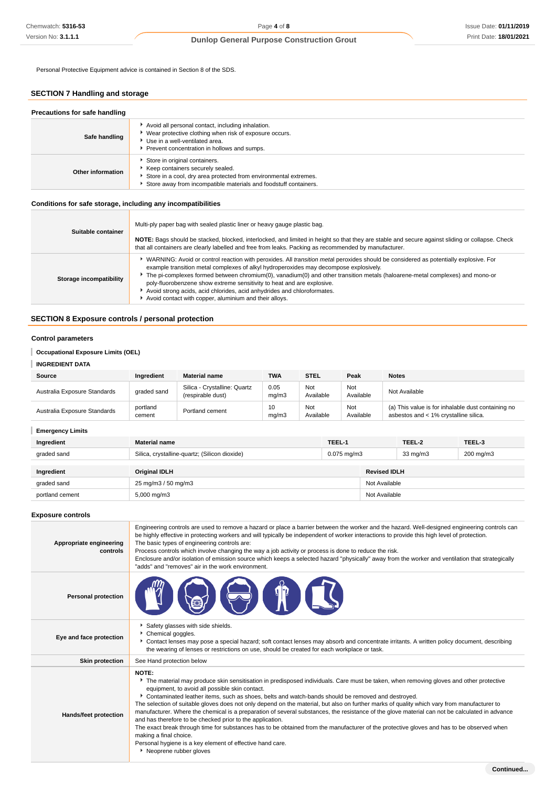Personal Protective Equipment advice is contained in Section 8 of the SDS.

# **SECTION 7 Handling and storage**

| Precautions for safe handling |                                                                                                                                                                                                           |
|-------------------------------|-----------------------------------------------------------------------------------------------------------------------------------------------------------------------------------------------------------|
| Safe handling                 | Avoid all personal contact, including inhalation.<br>▶ Wear protective clothing when risk of exposure occurs.<br>Use in a well-ventilated area.<br>Prevent concentration in hollows and sumps.            |
| Other information             | Store in original containers.<br>Keep containers securely sealed.<br>Store in a cool, dry area protected from environmental extremes.<br>Store away from incompatible materials and foodstuff containers. |

### **Conditions for safe storage, including any incompatibilities**

| Suitable container      | Multi-ply paper bag with sealed plastic liner or heavy gauge plastic bag.<br>NOTE: Bags should be stacked, blocked, interlocked, and limited in height so that they are stable and secure against sliding or collapse. Check<br>that all containers are clearly labelled and free from leaks. Packing as recommended by manufacturer.                                                                                                                                                                                                                                               |
|-------------------------|-------------------------------------------------------------------------------------------------------------------------------------------------------------------------------------------------------------------------------------------------------------------------------------------------------------------------------------------------------------------------------------------------------------------------------------------------------------------------------------------------------------------------------------------------------------------------------------|
| Storage incompatibility | WARNING: Avoid or control reaction with peroxides. All <i>transition metal</i> peroxides should be considered as potentially explosive. For<br>example transition metal complexes of alkyl hydroperoxides may decompose explosively.<br>The pi-complexes formed between chromium(0), vanadium(0) and other transition metals (haloarene-metal complexes) and mono-or<br>poly-fluorobenzene show extreme sensitivity to heat and are explosive.<br>Avoid strong acids, acid chlorides, acid anhydrides and chloroformates.<br>Avoid contact with copper, aluminium and their alloys. |

### **SECTION 8 Exposure controls / personal protection**

#### **Control parameters**

**Occupational Exposure Limits (OEL)**

**INGREDIENT DATA**

| Source                       | Ingredient         | <b>Material name</b>                              | <b>TWA</b>    | <b>STEL</b>      | Peak             | <b>Notes</b>                                                                                |
|------------------------------|--------------------|---------------------------------------------------|---------------|------------------|------------------|---------------------------------------------------------------------------------------------|
| Australia Exposure Standards | graded sand        | Silica - Crystalline: Quartz<br>(respirable dust) | 0.05<br>mq/m3 | Not<br>Available | Not<br>Available | Not Available                                                                               |
| Australia Exposure Standards | portland<br>cement | Portland cement                                   | 10<br>mq/m3   | Not<br>Available | Not<br>Available | (a) This value is for inhalable dust containing no<br>asbestos and < 1% crystalline silica. |

### **Emergency Limits**

| Ingredient      | <b>Material name</b>                                                      | TEEL-1 |                     | TEEL-2    | TEEL-3 |
|-----------------|---------------------------------------------------------------------------|--------|---------------------|-----------|--------|
| graded sand     | Silica, crystalline-quartz; (Silicon dioxide)<br>$0.075 \,\mathrm{mq/m3}$ |        | $33 \text{ mg/m}$   | 200 mg/m3 |        |
|                 |                                                                           |        |                     |           |        |
| Ingredient      | Original IDLH                                                             |        | <b>Revised IDLH</b> |           |        |
| graded sand     | 25 mg/m3 / 50 mg/m3                                                       |        | Not Available       |           |        |
| portland cement | 5,000 mg/m3                                                               |        | Not Available       |           |        |

#### **Exposure controls**

| Appropriate engineering<br>controls | Engineering controls are used to remove a hazard or place a barrier between the worker and the hazard. Well-designed engineering controls can<br>be highly effective in protecting workers and will typically be independent of worker interactions to provide this high level of protection.<br>The basic types of engineering controls are:<br>Process controls which involve changing the way a job activity or process is done to reduce the risk.<br>Enclosure and/or isolation of emission source which keeps a selected hazard "physically" away from the worker and ventilation that strategically<br>"adds" and "removes" air in the work environment.                                                                                                                                                                                                                                                                            |
|-------------------------------------|--------------------------------------------------------------------------------------------------------------------------------------------------------------------------------------------------------------------------------------------------------------------------------------------------------------------------------------------------------------------------------------------------------------------------------------------------------------------------------------------------------------------------------------------------------------------------------------------------------------------------------------------------------------------------------------------------------------------------------------------------------------------------------------------------------------------------------------------------------------------------------------------------------------------------------------------|
| <b>Personal protection</b>          |                                                                                                                                                                                                                                                                                                                                                                                                                                                                                                                                                                                                                                                                                                                                                                                                                                                                                                                                            |
| Eye and face protection             | Safety glasses with side shields.<br>Chemical goggles.<br>▶ Contact lenses may pose a special hazard; soft contact lenses may absorb and concentrate irritants. A written policy document, describing<br>the wearing of lenses or restrictions on use, should be created for each workplace or task.                                                                                                                                                                                                                                                                                                                                                                                                                                                                                                                                                                                                                                       |
| <b>Skin protection</b>              | See Hand protection below                                                                                                                                                                                                                                                                                                                                                                                                                                                                                                                                                                                                                                                                                                                                                                                                                                                                                                                  |
| Hands/feet protection               | <b>NOTE:</b><br>The material may produce skin sensitisation in predisposed individuals. Care must be taken, when removing gloves and other protective<br>equipment, to avoid all possible skin contact.<br>Contaminated leather items, such as shoes, belts and watch-bands should be removed and destroyed.<br>The selection of suitable gloves does not only depend on the material, but also on further marks of quality which vary from manufacturer to<br>manufacturer. Where the chemical is a preparation of several substances, the resistance of the glove material can not be calculated in advance<br>and has therefore to be checked prior to the application.<br>The exact break through time for substances has to be obtained from the manufacturer of the protective gloves and has to be observed when<br>making a final choice.<br>Personal hygiene is a key element of effective hand care.<br>▶ Neoprene rubber gloves |
|                                     | Continued                                                                                                                                                                                                                                                                                                                                                                                                                                                                                                                                                                                                                                                                                                                                                                                                                                                                                                                                  |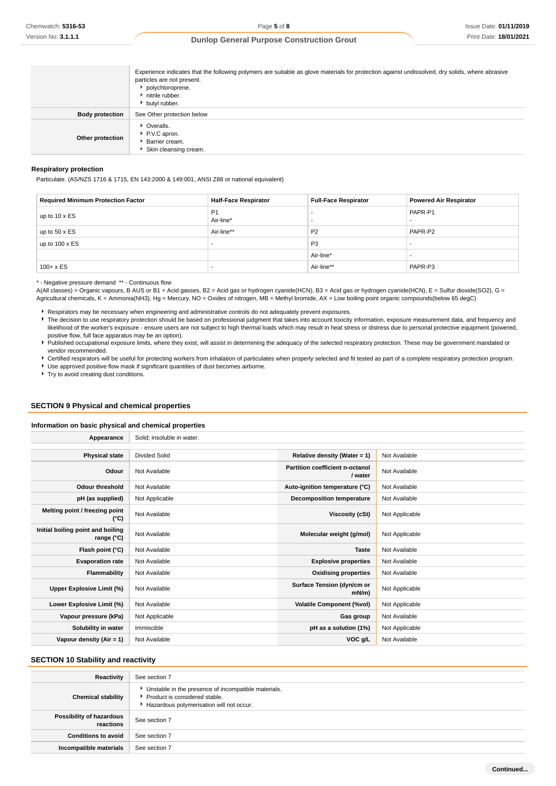|                        | Experience indicates that the following polymers are suitable as glove materials for protection against undissolved, dry solids, where abrasive<br>particles are not present.<br>polychloroprene.<br>hitrile rubber.<br>butyl rubber. |
|------------------------|---------------------------------------------------------------------------------------------------------------------------------------------------------------------------------------------------------------------------------------|
| <b>Body protection</b> | See Other protection below                                                                                                                                                                                                            |
| Other protection       | • Overalls.<br>P.V.C apron.<br>Barrier cream.<br>Skin cleansing cream.                                                                                                                                                                |

#### **Respiratory protection**

Particulate. (AS/NZS 1716 & 1715, EN 143:2000 & 149:001, ANSI Z88 or national equivalent)

| <b>Required Minimum Protection Factor</b> | <b>Half-Face Respirator</b> | <b>Full-Face Respirator</b> | <b>Powered Air Respirator</b> |
|-------------------------------------------|-----------------------------|-----------------------------|-------------------------------|
| up to $10 \times ES$                      | P <sub>1</sub><br>Air-line* |                             | PAPR-P1                       |
| up to $50 \times ES$                      | Air-line**                  | P <sub>2</sub>              | PAPR-P2                       |
| up to $100 \times ES$                     |                             | P <sub>3</sub>              | -                             |
|                                           |                             | Air-line*                   | -                             |
| $100 + x ES$                              |                             | Air-line**                  | PAPR-P3                       |

\* - Negative pressure demand \*\* - Continuous flow

A(All classes) = Organic vapours, B AUS or B1 = Acid gasses, B2 = Acid gas or hydrogen cyanide(HCN), B3 = Acid gas or hydrogen cyanide(HCN), E = Sulfur dioxide(SO2), G = Agricultural chemicals, K = Ammonia(NH3), Hg = Mercury, NO = Oxides of nitrogen, MB = Methyl bromide, AX = Low boiling point organic compounds(below 65 degC)

Respirators may be necessary when engineering and administrative controls do not adequately prevent exposures.

The decision to use respiratory protection should be based on professional judgment that takes into account toxicity information, exposure measurement data, and frequency and likelihood of the worker's exposure - ensure users are not subject to high thermal loads which may result in heat stress or distress due to personal protective equipment (powered, positive flow, full face apparatus may be an option).

Published occupational exposure limits, where they exist, will assist in determining the adequacy of the selected respiratory protection. These may be government mandated or vendor recommended.

Certified respirators will be useful for protecting workers from inhalation of particulates when properly selected and fit tested as part of a complete respiratory protection program.

Use approved positive flow mask if significant quantities of dust becomes airborne. ▶ Try to avoid creating dust conditions.

**Appearance** Solid; insoluble in water.

# **SECTION 9 Physical and chemical properties**

**Information on basic physical and chemical properties**

| <b>Appearance</b>                               | <b>JUILL, ILIJULUIT III WALTI.</b> |                                            |                |
|-------------------------------------------------|------------------------------------|--------------------------------------------|----------------|
|                                                 |                                    |                                            |                |
| <b>Physical state</b>                           | <b>Divided Solid</b>               | Relative density (Water = $1$ )            | Not Available  |
| Odour                                           | Not Available                      | Partition coefficient n-octanol<br>/ water | Not Available  |
| <b>Odour threshold</b>                          | Not Available                      | Auto-ignition temperature (°C)             | Not Available  |
| pH (as supplied)                                | Not Applicable                     | <b>Decomposition temperature</b>           | Not Available  |
| Melting point / freezing point<br>(°C)          | Not Available                      | <b>Viscosity (cSt)</b>                     | Not Applicable |
| Initial boiling point and boiling<br>range (°C) | Not Available                      | Molecular weight (g/mol)                   | Not Applicable |
| Flash point (°C)                                | Not Available                      | <b>Taste</b>                               | Not Available  |
| <b>Evaporation rate</b>                         | Not Available                      | <b>Explosive properties</b>                | Not Available  |
| <b>Flammability</b>                             | Not Available                      | <b>Oxidising properties</b>                | Not Available  |
| Upper Explosive Limit (%)                       | Not Available                      | Surface Tension (dyn/cm or<br>$mN/m$ )     | Not Applicable |
| Lower Explosive Limit (%)                       | Not Available                      | <b>Volatile Component (%vol)</b>           | Not Applicable |
| Vapour pressure (kPa)                           | Not Applicable                     | Gas group                                  | Not Available  |
| Solubility in water                             | Immiscible                         | pH as a solution (1%)                      | Not Applicable |
| Vapour density $(Air = 1)$                      | Not Available                      | VOC g/L                                    | Not Available  |

#### **SECTION 10 Stability and reactivity**

| Reactivity                            | See section 7                                                                                                                        |
|---------------------------------------|--------------------------------------------------------------------------------------------------------------------------------------|
| <b>Chemical stability</b>             | • Unstable in the presence of incompatible materials.<br>▶ Product is considered stable.<br>Hazardous polymerisation will not occur. |
| Possibility of hazardous<br>reactions | See section 7                                                                                                                        |
| <b>Conditions to avoid</b>            | See section 7                                                                                                                        |
| Incompatible materials                | See section 7                                                                                                                        |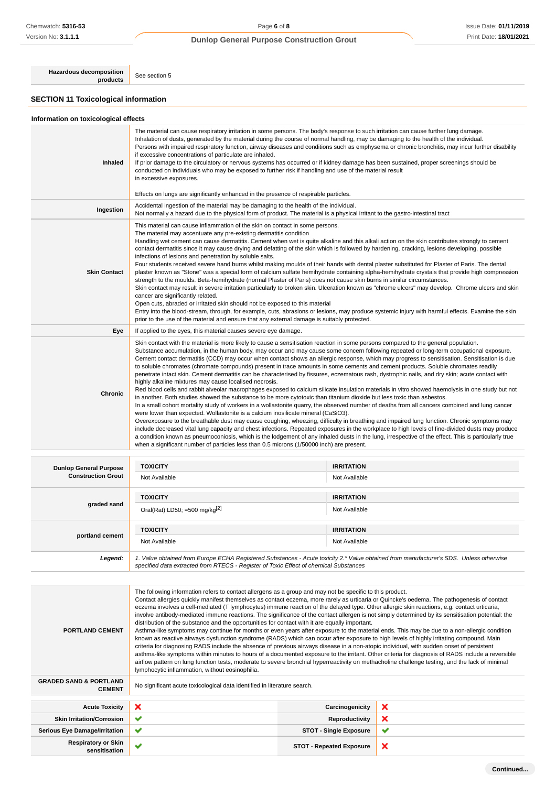**Hazardous decomposition**<br>**products** See section 5

# **SECTION 11 Toxicological information**

# **Information on toxicological effects**

| Inhaled             | The material can cause respiratory irritation in some persons. The body's response to such irritation can cause further lung damage.<br>Inhalation of dusts, generated by the material during the course of normal handling, may be damaging to the health of the individual.<br>Persons with impaired respiratory function, airway diseases and conditions such as emphysema or chronic bronchitis, may incur further disability<br>if excessive concentrations of particulate are inhaled.<br>If prior damage to the circulatory or nervous systems has occurred or if kidney damage has been sustained, proper screenings should be<br>conducted on individuals who may be exposed to further risk if handling and use of the material result<br>in excessive exposures.<br>Effects on lungs are significantly enhanced in the presence of respirable particles.                                                                                                                                                                                                                                                                                                                                                                                                                                                                                                                                                                                                                                                                                                                                                                                                                                                                                                                                                                                      |
|---------------------|----------------------------------------------------------------------------------------------------------------------------------------------------------------------------------------------------------------------------------------------------------------------------------------------------------------------------------------------------------------------------------------------------------------------------------------------------------------------------------------------------------------------------------------------------------------------------------------------------------------------------------------------------------------------------------------------------------------------------------------------------------------------------------------------------------------------------------------------------------------------------------------------------------------------------------------------------------------------------------------------------------------------------------------------------------------------------------------------------------------------------------------------------------------------------------------------------------------------------------------------------------------------------------------------------------------------------------------------------------------------------------------------------------------------------------------------------------------------------------------------------------------------------------------------------------------------------------------------------------------------------------------------------------------------------------------------------------------------------------------------------------------------------------------------------------------------------------------------------------|
| Ingestion           | Accidental ingestion of the material may be damaging to the health of the individual.<br>Not normally a hazard due to the physical form of product. The material is a physical irritant to the gastro-intestinal tract                                                                                                                                                                                                                                                                                                                                                                                                                                                                                                                                                                                                                                                                                                                                                                                                                                                                                                                                                                                                                                                                                                                                                                                                                                                                                                                                                                                                                                                                                                                                                                                                                                   |
| <b>Skin Contact</b> | This material can cause inflammation of the skin on contact in some persons.<br>The material may accentuate any pre-existing dermatitis condition<br>Handling wet cement can cause dermatitis. Cement when wet is quite alkaline and this alkali action on the skin contributes strongly to cement<br>contact dermatitis since it may cause drying and defatting of the skin which is followed by hardening, cracking, lesions developing, possible<br>infections of lesions and penetration by soluble salts.<br>Four students received severe hand burns whilst making moulds of their hands with dental plaster substituted for Plaster of Paris. The dental<br>plaster known as "Stone" was a special form of calcium sulfate hemihydrate containing alpha-hemihydrate crystals that provide high compression<br>strength to the moulds. Beta-hemihydrate (normal Plaster of Paris) does not cause skin burns in similar circumstances.<br>Skin contact may result in severe irritation particularly to broken skin. Ulceration known as "chrome ulcers" may develop. Chrome ulcers and skin<br>cancer are significantly related.<br>Open cuts, abraded or irritated skin should not be exposed to this material<br>Entry into the blood-stream, through, for example, cuts, abrasions or lesions, may produce systemic injury with harmful effects. Examine the skin<br>prior to the use of the material and ensure that any external damage is suitably protected.                                                                                                                                                                                                                                                                                                                                                                                 |
| Eye                 | If applied to the eyes, this material causes severe eye damage.                                                                                                                                                                                                                                                                                                                                                                                                                                                                                                                                                                                                                                                                                                                                                                                                                                                                                                                                                                                                                                                                                                                                                                                                                                                                                                                                                                                                                                                                                                                                                                                                                                                                                                                                                                                          |
| <b>Chronic</b>      | Skin contact with the material is more likely to cause a sensitisation reaction in some persons compared to the general population.<br>Substance accumulation, in the human body, may occur and may cause some concern following repeated or long-term occupational exposure.<br>Cement contact dermatitis (CCD) may occur when contact shows an allergic response, which may progress to sensitisation. Sensitisation is due<br>to soluble chromates (chromate compounds) present in trace amounts in some cements and cement products. Soluble chromates readily<br>penetrate intact skin. Cement dermatitis can be characterised by fissures, eczematous rash, dystrophic nails, and dry skin; acute contact with<br>highly alkaline mixtures may cause localised necrosis.<br>Red blood cells and rabbit alveolar macrophages exposed to calcium silicate insulation materials in vitro showed haemolysis in one study but not<br>in another. Both studies showed the substance to be more cytotoxic than titanium dioxide but less toxic than asbestos.<br>In a small cohort mortality study of workers in a wollastonite quarry, the observed number of deaths from all cancers combined and lung cancer<br>were lower than expected. Wollastonite is a calcium inosilicate mineral (CaSiO3).<br>Overexposure to the breathable dust may cause coughing, wheezing, difficulty in breathing and impaired lung function. Chronic symptoms may<br>include decreased vital lung capacity and chest infections. Repeated exposures in the workplace to high levels of fine-divided dusts may produce<br>a condition known as pneumoconiosis, which is the lodgement of any inhaled dusts in the lung, irrespective of the effect. This is particularly true<br>when a significant number of particles less than 0.5 microns (1/50000 inch) are present. |

| <b>Dunlop General Purpose</b><br><b>Construction Grout</b> | <b>TOXICITY</b><br>Not Available                                                                                                                                                                                                | <b>IRRITATION</b><br>Not Available |
|------------------------------------------------------------|---------------------------------------------------------------------------------------------------------------------------------------------------------------------------------------------------------------------------------|------------------------------------|
| graded sand                                                | <b>TOXICITY</b><br>Oral(Rat) LD50; =500 mg/kg $[2]$                                                                                                                                                                             | <b>IRRITATION</b><br>Not Available |
| portland cement                                            | <b>TOXICITY</b><br>Not Available                                                                                                                                                                                                | <b>IRRITATION</b><br>Not Available |
| Legend:                                                    | 1. Value obtained from Europe ECHA Registered Substances - Acute toxicity 2.* Value obtained from manufacturer's SDS. Unless otherwise<br>specified data extracted from RTECS - Register of Toxic Effect of chemical Substances |                                    |

| <b>PORTLAND CEMENT</b>                             | The following information refers to contact allergens as a group and may not be specific to this product.<br>Contact allergies quickly manifest themselves as contact eczema, more rarely as urticaria or Quincke's oedema. The pathogenesis of contact<br>eczema involves a cell-mediated (T lymphocytes) immune reaction of the delayed type. Other allergic skin reactions, e.g. contact urticaria,<br>involve antibody-mediated immune reactions. The significance of the contact allergen is not simply determined by its sensitisation potential: the<br>distribution of the substance and the opportunities for contact with it are equally important.<br>Asthma-like symptoms may continue for months or even years after exposure to the material ends. This may be due to a non-allergic condition<br>known as reactive airways dysfunction syndrome (RADS) which can occur after exposure to high levels of highly irritating compound. Main<br>criteria for diagnosing RADS include the absence of previous airways disease in a non-atopic individual, with sudden onset of persistent<br>asthma-like symptoms within minutes to hours of a documented exposure to the irritant. Other criteria for diagnosis of RADS include a reversible |                                 |   |
|----------------------------------------------------|---------------------------------------------------------------------------------------------------------------------------------------------------------------------------------------------------------------------------------------------------------------------------------------------------------------------------------------------------------------------------------------------------------------------------------------------------------------------------------------------------------------------------------------------------------------------------------------------------------------------------------------------------------------------------------------------------------------------------------------------------------------------------------------------------------------------------------------------------------------------------------------------------------------------------------------------------------------------------------------------------------------------------------------------------------------------------------------------------------------------------------------------------------------------------------------------------------------------------------------------------------|---------------------------------|---|
|                                                    | airflow pattern on lung function tests, moderate to severe bronchial hyperreactivity on methacholine challenge testing, and the lack of minimal<br>lymphocytic inflammation, without eosinophilia.                                                                                                                                                                                                                                                                                                                                                                                                                                                                                                                                                                                                                                                                                                                                                                                                                                                                                                                                                                                                                                                      |                                 |   |
| <b>GRADED SAND &amp; PORTLAND</b><br><b>CEMENT</b> | No significant acute toxicological data identified in literature search.                                                                                                                                                                                                                                                                                                                                                                                                                                                                                                                                                                                                                                                                                                                                                                                                                                                                                                                                                                                                                                                                                                                                                                                |                                 |   |
|                                                    |                                                                                                                                                                                                                                                                                                                                                                                                                                                                                                                                                                                                                                                                                                                                                                                                                                                                                                                                                                                                                                                                                                                                                                                                                                                         |                                 |   |
| <b>Acute Toxicity</b>                              | ×                                                                                                                                                                                                                                                                                                                                                                                                                                                                                                                                                                                                                                                                                                                                                                                                                                                                                                                                                                                                                                                                                                                                                                                                                                                       | Carcinogenicity                 | × |
| <b>Skin Irritation/Corrosion</b>                   | $\checkmark$                                                                                                                                                                                                                                                                                                                                                                                                                                                                                                                                                                                                                                                                                                                                                                                                                                                                                                                                                                                                                                                                                                                                                                                                                                            | Reproductivity                  | × |
| <b>Serious Eye Damage/Irritation</b>               | ✔                                                                                                                                                                                                                                                                                                                                                                                                                                                                                                                                                                                                                                                                                                                                                                                                                                                                                                                                                                                                                                                                                                                                                                                                                                                       | <b>STOT - Single Exposure</b>   | ✔ |
| <b>Respiratory or Skin</b><br>sensitisation        | ✔                                                                                                                                                                                                                                                                                                                                                                                                                                                                                                                                                                                                                                                                                                                                                                                                                                                                                                                                                                                                                                                                                                                                                                                                                                                       | <b>STOT - Repeated Exposure</b> | × |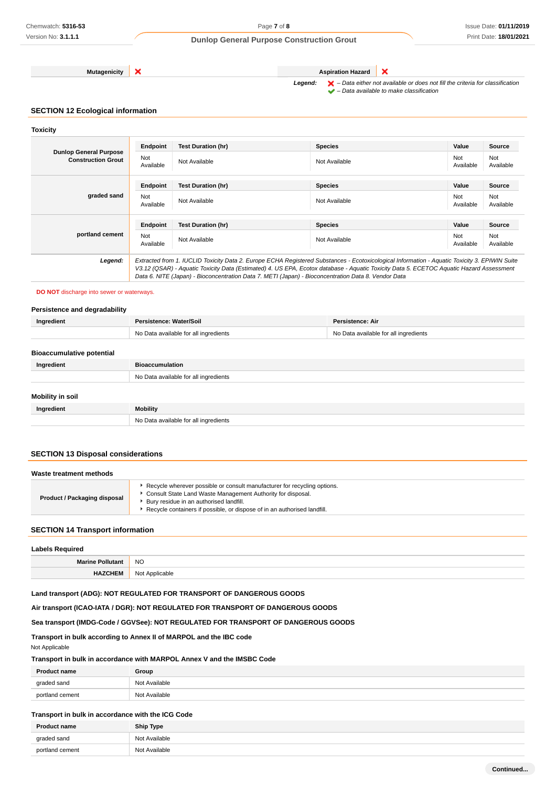**Mutagenicity X Aspiration Hazard** 

Legend:  $\mathsf{X}$  – Data either not available or does not fill the criteria for classification  $\blacktriangleright$  – Data available to make classification

×

# **SECTION 12 Ecological information**

**Toxicity**

|                                                            | Endpoint         | <b>Test Duration (hr)</b>                                                                                                                                                                                                                                                                                                                                                                       | <b>Species</b> | Value            | Source           |
|------------------------------------------------------------|------------------|-------------------------------------------------------------------------------------------------------------------------------------------------------------------------------------------------------------------------------------------------------------------------------------------------------------------------------------------------------------------------------------------------|----------------|------------------|------------------|
| <b>Dunlop General Purpose</b><br><b>Construction Grout</b> | Not<br>Available | Not Available                                                                                                                                                                                                                                                                                                                                                                                   | Not Available  | Not<br>Available | Not<br>Available |
|                                                            | Endpoint         | <b>Test Duration (hr)</b>                                                                                                                                                                                                                                                                                                                                                                       | <b>Species</b> | Value            | Source           |
| graded sand                                                | Not<br>Available | Not Available                                                                                                                                                                                                                                                                                                                                                                                   | Not Available  | Not<br>Available | Not<br>Available |
|                                                            | Endpoint         | <b>Test Duration (hr)</b>                                                                                                                                                                                                                                                                                                                                                                       | <b>Species</b> | Value            | <b>Source</b>    |
| portland cement                                            | Not<br>Available | Not Available                                                                                                                                                                                                                                                                                                                                                                                   | Not Available  | Not<br>Available | Not<br>Available |
| Legend:                                                    |                  | Extracted from 1. IUCLID Toxicity Data 2. Europe ECHA Registered Substances - Ecotoxicological Information - Aquatic Toxicity 3. EPIWIN Suite<br>V3.12 (QSAR) - Aquatic Toxicity Data (Estimated) 4. US EPA, Ecotox database - Aquatic Toxicity Data 5. ECETOC Aquatic Hazard Assessment<br>Data 6. NITE (Japan) - Bioconcentration Data 7. METI (Japan) - Bioconcentration Data 8. Vendor Data |                |                  |                  |

**DO NOT** discharge into sewer or waterways.

#### **Persistence and degradability**

| Ingredient                       | Persistence: Water/Soil               | <b>Persistence: Air</b>               |  |
|----------------------------------|---------------------------------------|---------------------------------------|--|
|                                  | No Data available for all ingredients | No Data available for all ingredients |  |
|                                  |                                       |                                       |  |
| <b>Bioaccumulative potential</b> |                                       |                                       |  |
| Ingredient                       | <b>Bioaccumulation</b>                |                                       |  |
|                                  | No Data available for all ingredients |                                       |  |
|                                  |                                       |                                       |  |
| <b>Mobility in soil</b>          |                                       |                                       |  |
| Ingredient                       | Mobility                              |                                       |  |
|                                  | No Data available for all ingredients |                                       |  |

# **SECTION 13 Disposal considerations**

| Waste treatment methods             |                                                                                                                                                                                                                                                                |  |
|-------------------------------------|----------------------------------------------------------------------------------------------------------------------------------------------------------------------------------------------------------------------------------------------------------------|--|
| <b>Product / Packaging disposal</b> | Recycle wherever possible or consult manufacturer for recycling options.<br>Consult State Land Waste Management Authority for disposal.<br>Bury residue in an authorised landfill.<br>Recycle containers if possible, or dispose of in an authorised landfill. |  |

### **SECTION 14 Transport information**

| <b>Labels Required</b>  |                |  |
|-------------------------|----------------|--|
| <b>Marine Pollutant</b> | <b>NO</b>      |  |
| <b>HAZCHEM</b>          | Not Applicable |  |

### **Land transport (ADG): NOT REGULATED FOR TRANSPORT OF DANGEROUS GOODS**

**Air transport (ICAO-IATA / DGR): NOT REGULATED FOR TRANSPORT OF DANGEROUS GOODS**

# **Sea transport (IMDG-Code / GGVSee): NOT REGULATED FOR TRANSPORT OF DANGEROUS GOODS**

### **Transport in bulk according to Annex II of MARPOL and the IBC code**

Not Applicable

### **Transport in bulk in accordance with MARPOL Annex V and the IMSBC Code**

| <b>Product name</b> | Group         |
|---------------------|---------------|
| graded sand         | Not Available |
| portland cement     | Not Available |

### **Transport in bulk in accordance with the ICG Code**

| <b>Product name</b> | <b>Ship Type</b> |
|---------------------|------------------|
| graded sand         | Not Available    |
| portland cement     | Not Available    |